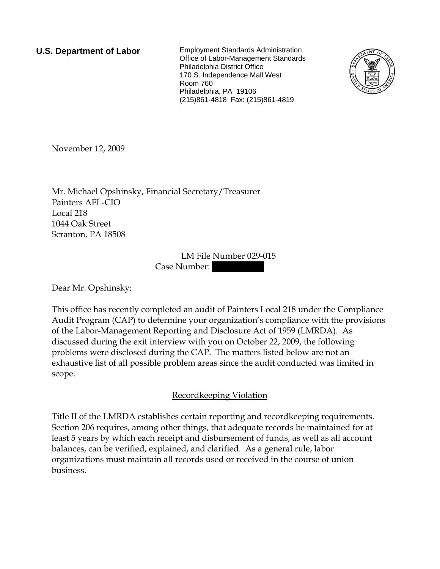**U.S. Department of Labor** Employment Standards Administration Office of Labor-Management Standards Philadelphia District Office 170 S. Independence Mall West Room 760 Philadelphia, PA 19106 (215)861-4818 Fax: (215)861-4819



November 12, 2009

Mr. Michael Opshinsky, Financial Secretary/Treasurer Painters AFL-CIO Local 218 1044 Oak Street Scranton, PA 18508

> LM File Number 029-015 Case Number:

Dear Mr. Opshinsky:

This office has recently completed an audit of Painters Local 218 under the Compliance Audit Program (CAP) to determine your organization's compliance with the provisions of the Labor-Management Reporting and Disclosure Act of 1959 (LMRDA). As discussed during the exit interview with you on October 22, 2009, the following problems were disclosed during the CAP. The matters listed below are not an exhaustive list of all possible problem areas since the audit conducted was limited in scope.

## Recordkeeping Violation

Title II of the LMRDA establishes certain reporting and recordkeeping requirements. Section 206 requires, among other things, that adequate records be maintained for at least 5 years by which each receipt and disbursement of funds, as well as all account balances, can be verified, explained, and clarified. As a general rule, labor organizations must maintain all records used or received in the course of union business.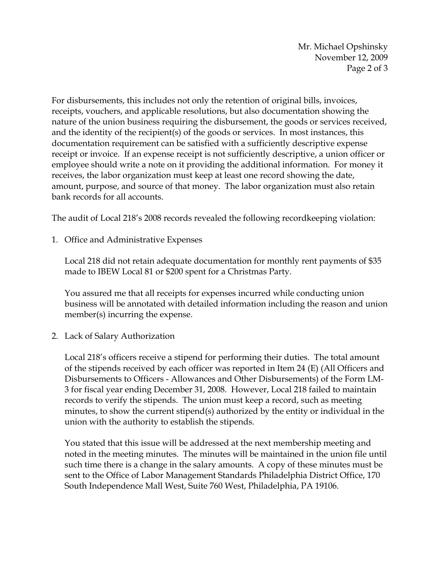Mr. Michael Opshinsky November 12, 2009 Page 2 of 3

For disbursements, this includes not only the retention of original bills, invoices, receipts, vouchers, and applicable resolutions, but also documentation showing the nature of the union business requiring the disbursement, the goods or services received, and the identity of the recipient(s) of the goods or services. In most instances, this documentation requirement can be satisfied with a sufficiently descriptive expense receipt or invoice. If an expense receipt is not sufficiently descriptive, a union officer or employee should write a note on it providing the additional information. For money it receives, the labor organization must keep at least one record showing the date, amount, purpose, and source of that money. The labor organization must also retain bank records for all accounts.

The audit of Local 218's 2008 records revealed the following recordkeeping violation:

1. Office and Administrative Expenses

Local 218 did not retain adequate documentation for monthly rent payments of \$35 made to IBEW Local 81 or \$200 spent for a Christmas Party.

You assured me that all receipts for expenses incurred while conducting union business will be annotated with detailed information including the reason and union member(s) incurring the expense.

2. Lack of Salary Authorization

Local 218's officers receive a stipend for performing their duties. The total amount of the stipends received by each officer was reported in Item 24 (E) (All Officers and Disbursements to Officers - Allowances and Other Disbursements) of the Form LM-3 for fiscal year ending December 31, 2008. However, Local 218 failed to maintain records to verify the stipends. The union must keep a record, such as meeting minutes, to show the current stipend(s) authorized by the entity or individual in the union with the authority to establish the stipends.

You stated that this issue will be addressed at the next membership meeting and noted in the meeting minutes. The minutes will be maintained in the union file until such time there is a change in the salary amounts. A copy of these minutes must be sent to the Office of Labor Management Standards Philadelphia District Office, 170 South Independence Mall West, Suite 760 West, Philadelphia, PA 19106.